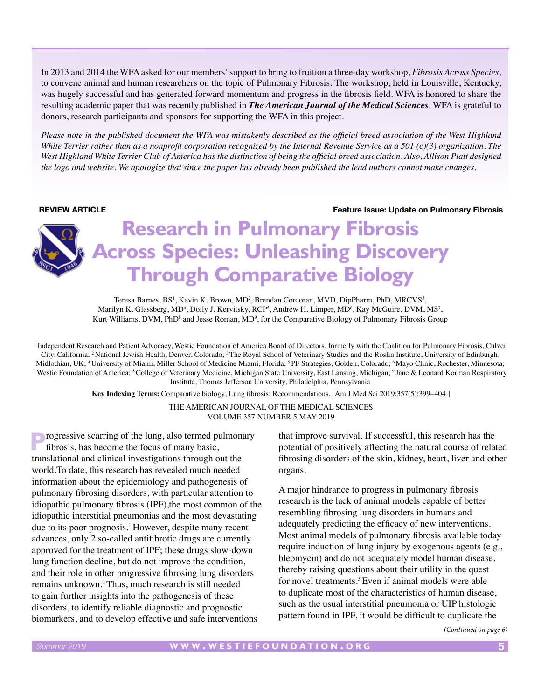In 2013 and 2014 the WFA asked for our members' support to bring to fruition a three-day workshop, *Fibrosis Across Species*, to convene animal and human researchers on the topic of Pulmonary Fibrosis. The workshop, held in Louisville, Kentucky, was hugely successful and has generated forward momentum and progress in the fibrosis field. WFA is honored to share the resulting academic paper that was recently published in *The American Journal of the Medical Sciences*. WFA is grateful to donors, research participants and sponsors for supporting the WFA in this project.

*Please note in the published document the WFA was mistakenly described as the official breed association of the West Highland White Terrier rather than as a nonprofit corporation recognized by the Internal Revenue Service as a 501 (c)(3) organization. The West Highland White Terrier Club of America has the distinction of being the official breed association. Also, Allison Platt designed the logo and website. We apologize that since the paper has already been published the lead authors cannot make changes.* 

**REVIEW ARTICLE Feature Issue: Update on Pulmonary Fibrosis**

# **Research in Pulmonary Fibrosis Across Species: Unleashing Discovery Through Comparative Biology**

Teresa Barnes, BS<sup>1</sup>, Kevin K. Brown, MD<sup>2</sup>, Brendan Corcoran, MVD, DipPharm, PhD, MRCVS<sup>3</sup>, Marilyn K. Glassberg, MD<sup>4</sup>, Dolly J. Kervitsky, RCP<sup>5</sup>, Andrew H. Limper, MD<sup>6</sup>, Kay McGuire, DVM, MS<sup>7</sup>, Kurt Williams, DVM, PhD<sup>8</sup> and Jesse Roman, MD<sup>9</sup>, for the Comparative Biology of Pulmonary Fibrosis Group

<sup>1</sup> Independent Research and Patient Advocacy, Westie Foundation of America Board of Directors, formerly with the Coalition for Pulmonary Fibrosis, Culver City, California; <sup>2</sup>National Jewish Health, Denver, Colorado; <sup>3</sup>The Royal School of Veterinary Studies and the Roslin Institute, University of Edinburgh, Midlothian, UK; 4 University of Miami, Miller School of Medicine Miami, Florida; 5 PF Strategies, Golden, Colorado; 6 Mayo Clinic, Rochester, Minnesota; <sup>7</sup> Westie Foundation of America; <sup>8</sup>College of Veterinary Medicine, Michigan State University, East Lansing, Michigan; <sup>9</sup> Jane & Leonard Korman Respiratory Institute, Thomas Jefferson University, Philadelphia, Pennsylvania

> **Key Indexing Terms:** Comparative biology; Lung fibrosis; Recommendations. [Am J Med Sci 2019;357(5):399−404.] THE AMERICAN JOURNAL OF THE MEDICAL SCIENCES VOLUME 357 NUMBER 5 MAY 2019

**P**rogressive scarring of the lung, also termed pulmonary fibrosis, has become the focus of many basic, translational and clinical investigations through out the world.To date, this research has revealed much needed information about the epidemiology and pathogenesis of pulmonary fibrosing disorders, with particular attention to idiopathic pulmonary fibrosis (IPF),the most common of the idiopathic interstitial pneumonias and the most devastating due to its poor prognosis.<sup>1</sup> However, despite many recent advances, only 2 so-called antifibrotic drugs are currently approved for the treatment of IPF; these drugs slow-down lung function decline, but do not improve the condition, and their role in other progressive fibrosing lung disorders remains unknown.2 Thus, much research is still needed to gain further insights into the pathogenesis of these disorders, to identify reliable diagnostic and prognostic biomarkers, and to develop effective and safe interventions

that improve survival. If successful, this research has the potential of positively affecting the natural course of related fibrosing disorders of the skin, kidney, heart, liver and other organs.

A major hindrance to progress in pulmonary fibrosis research is the lack of animal models capable of better resembling fibrosing lung disorders in humans and adequately predicting the efficacy of new interventions. Most animal models of pulmonary fibrosis available today require induction of lung injury by exogenous agents (e.g., bleomycin) and do not adequately model human disease, thereby raising questions about their utility in the quest for novel treatments.3 Even if animal models were able to duplicate most of the characteristics of human disease, such as the usual interstitial pneumonia or UIP histologic pattern found in IPF, it would be difficult to duplicate the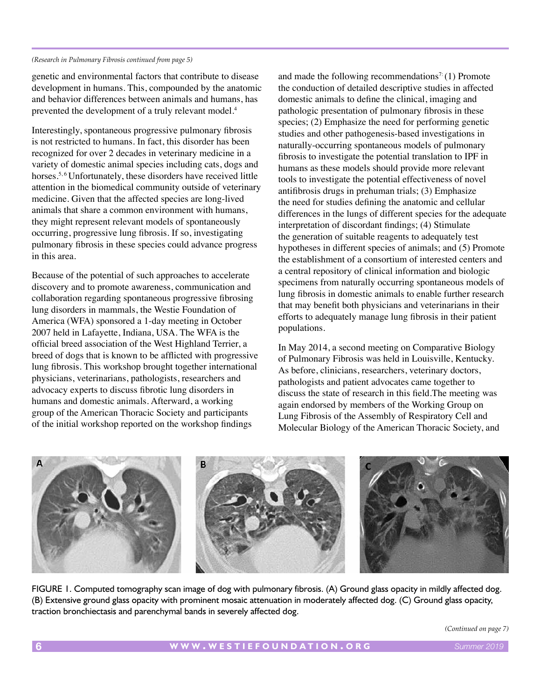### *(Research in Pulmonary Fibrosis continued from page 5)*

genetic and environmental factors that contribute to disease development in humans. This, compounded by the anatomic and behavior differences between animals and humans, has prevented the development of a truly relevant model.4

Interestingly, spontaneous progressive pulmonary fibrosis is not restricted to humans. In fact, this disorder has been recognized for over 2 decades in veterinary medicine in a variety of domestic animal species including cats, dogs and horses.<sup>5, 6</sup> Unfortunately, these disorders have received little attention in the biomedical community outside of veterinary medicine. Given that the affected species are long-lived animals that share a common environment with humans, they might represent relevant models of spontaneously occurring, progressive lung fibrosis. If so, investigating pulmonary fibrosis in these species could advance progress in this area.

Because of the potential of such approaches to accelerate discovery and to promote awareness, communication and collaboration regarding spontaneous progressive fibrosing lung disorders in mammals, the Westie Foundation of America (WFA) sponsored a 1-day meeting in October 2007 held in Lafayette, Indiana, USA. The WFA is the official breed association of the West Highland Terrier, a breed of dogs that is known to be afflicted with progressive lung fibrosis. This workshop brought together international physicians, veterinarians, pathologists, researchers and advocacy experts to discuss fibrotic lung disorders in humans and domestic animals. Afterward, a working group of the American Thoracic Society and participants of the initial workshop reported on the workshop findings

and made the following recommendations<sup>7:</sup> (1) Promote the conduction of detailed descriptive studies in affected domestic animals to define the clinical, imaging and pathologic presentation of pulmonary fibrosis in these species; (2) Emphasize the need for performing genetic studies and other pathogenesis-based investigations in naturally-occurring spontaneous models of pulmonary fibrosis to investigate the potential translation to IPF in humans as these models should provide more relevant tools to investigate the potential effectiveness of novel antifibrosis drugs in prehuman trials; (3) Emphasize the need for studies defining the anatomic and cellular differences in the lungs of different species for the adequate interpretation of discordant findings; (4) Stimulate the generation of suitable reagents to adequately test hypotheses in different species of animals; and (5) Promote the establishment of a consortium of interested centers and a central repository of clinical information and biologic specimens from naturally occurring spontaneous models of lung fibrosis in domestic animals to enable further research that may benefit both physicians and veterinarians in their efforts to adequately manage lung fibrosis in their patient populations.

In May 2014, a second meeting on Comparative Biology of Pulmonary Fibrosis was held in Louisville, Kentucky. As before, clinicians, researchers, veterinary doctors, pathologists and patient advocates came together to discuss the state of research in this field.The meeting was again endorsed by members of the Working Group on Lung Fibrosis of the Assembly of Respiratory Cell and Molecular Biology of the American Thoracic Society, and



FIGURE 1. Computed tomography scan image of dog with pulmonary fibrosis. (A) Ground glass opacity in mildly affected dog. (B) Extensive ground glass opacity with prominent mosaic attenuation in moderately affected dog. (C) Ground glass opacity, traction bronchiectasis and parenchymal bands in severely affected dog.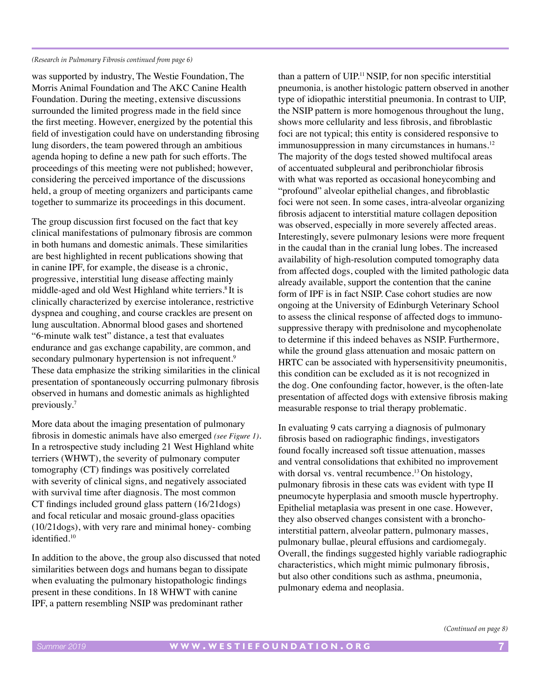### *(Research in Pulmonary Fibrosis continued from page 6)*

was supported by industry, The Westie Foundation, The Morris Animal Foundation and The AKC Canine Health Foundation. During the meeting, extensive discussions surrounded the limited progress made in the field since the first meeting. However, energized by the potential this field of investigation could have on understanding fibrosing lung disorders, the team powered through an ambitious agenda hoping to define a new path for such efforts. The proceedings of this meeting were not published; however, considering the perceived importance of the discussions held, a group of meeting organizers and participants came together to summarize its proceedings in this document.

The group discussion first focused on the fact that key clinical manifestations of pulmonary fibrosis are common in both humans and domestic animals. These similarities are best highlighted in recent publications showing that in canine IPF, for example, the disease is a chronic, progressive, interstitial lung disease affecting mainly middle-aged and old West Highland white terriers.<sup>8</sup> It is clinically characterized by exercise intolerance, restrictive dyspnea and coughing, and course crackles are present on lung auscultation. Abnormal blood gases and shortened "6-minute walk test" distance, a test that evaluates endurance and gas exchange capability, are common, and secondary pulmonary hypertension is not infrequent.<sup>9</sup> These data emphasize the striking similarities in the clinical presentation of spontaneously occurring pulmonary fibrosis observed in humans and domestic animals as highlighted previously.7

More data about the imaging presentation of pulmonary fibrosis in domestic animals have also emerged *(see Figure 1)*. In a retrospective study including 21 West Highland white terriers (WHWT), the severity of pulmonary computer tomography (CT) findings was positively correlated with severity of clinical signs, and negatively associated with survival time after diagnosis. The most common CT findings included ground glass pattern (16/21dogs) and focal reticular and mosaic ground-glass opacities (10/21dogs), with very rare and minimal honey- combing identified.10

In addition to the above, the group also discussed that noted similarities between dogs and humans began to dissipate when evaluating the pulmonary histopathologic findings present in these conditions. In 18 WHWT with canine IPF, a pattern resembling NSIP was predominant rather

than a pattern of UIP.<sup>11</sup> NSIP, for non specific interstitial pneumonia, is another histologic pattern observed in another type of idiopathic interstitial pneumonia. In contrast to UIP, the NSIP pattern is more homogenous throughout the lung, shows more cellularity and less fibrosis, and fibroblastic foci are not typical; this entity is considered responsive to immunosuppression in many circumstances in humans.<sup>12</sup> The majority of the dogs tested showed multifocal areas of accentuated subpleural and peribronchiolar fibrosis with what was reported as occasional honeycombing and "profound" alveolar epithelial changes, and fibroblastic foci were not seen. In some cases, intra-alveolar organizing fibrosis adjacent to interstitial mature collagen deposition was observed, especially in more severely affected areas. Interestingly, severe pulmonary lesions were more frequent in the caudal than in the cranial lung lobes. The increased availability of high-resolution computed tomography data from affected dogs, coupled with the limited pathologic data already available, support the contention that the canine form of IPF is in fact NSIP. Case cohort studies are now ongoing at the University of Edinburgh Veterinary School to assess the clinical response of affected dogs to immunosuppressive therapy with prednisolone and mycophenolate to determine if this indeed behaves as NSIP. Furthermore, while the ground glass attenuation and mosaic pattern on HRTC can be associated with hypersensitivity pneumonitis, this condition can be excluded as it is not recognized in the dog. One confounding factor, however, is the often-late presentation of affected dogs with extensive fibrosis making measurable response to trial therapy problematic.

In evaluating 9 cats carrying a diagnosis of pulmonary fibrosis based on radiographic findings, investigators found focally increased soft tissue attenuation, masses and ventral consolidations that exhibited no improvement with dorsal vs. ventral recumbence.<sup>13</sup> On histology, pulmonary fibrosis in these cats was evident with type II pneumocyte hyperplasia and smooth muscle hypertrophy. Epithelial metaplasia was present in one case. However, they also observed changes consistent with a bronchointerstitial pattern, alveolar pattern, pulmonary masses, pulmonary bullae, pleural effusions and cardiomegaly. Overall, the findings suggested highly variable radiographic characteristics, which might mimic pulmonary fibrosis, but also other conditions such as asthma, pneumonia, pulmonary edema and neoplasia.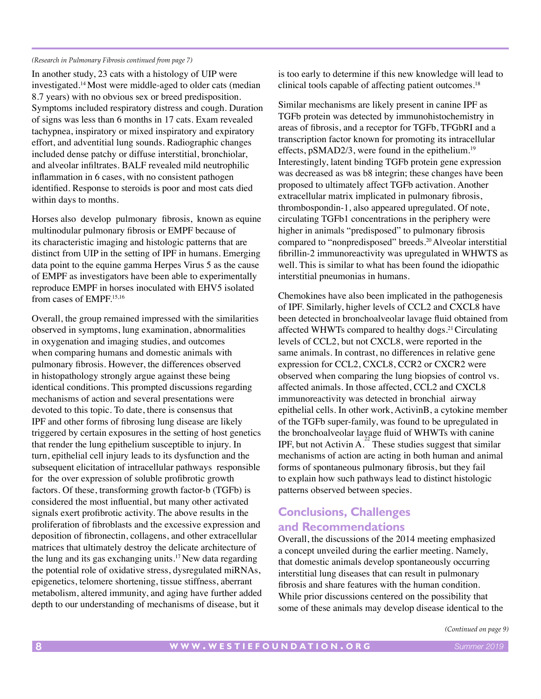### *(Research in Pulmonary Fibrosis continued from page 7)*

In another study, 23 cats with a histology of UIP were investigated.14 Most were middle-aged to older cats (median 8.7 years) with no obvious sex or breed predisposition. Symptoms included respiratory distress and cough. Duration of signs was less than 6 months in 17 cats. Exam revealed tachypnea, inspiratory or mixed inspiratory and expiratory effort, and adventitial lung sounds. Radiographic changes included dense patchy or diffuse interstitial, bronchiolar, and alveolar infiltrates. BALF revealed mild neutrophilic inflammation in 6 cases, with no consistent pathogen identified. Response to steroids is poor and most cats died within days to months.

Horses also develop pulmonary fibrosis, known as equine multinodular pulmonary fibrosis or EMPF because of its characteristic imaging and histologic patterns that are distinct from UIP in the setting of IPF in humans. Emerging data point to the equine gamma Herpes Virus 5 as the cause of EMPF as investigators have been able to experimentally reproduce EMPF in horses inoculated with EHV5 isolated from cases of EMPF.15,16

Overall, the group remained impressed with the similarities observed in symptoms, lung examination, abnormalities in oxygenation and imaging studies, and outcomes when comparing humans and domestic animals with pulmonary fibrosis. However, the differences observed in histopathology strongly argue against these being identical conditions. This prompted discussions regarding mechanisms of action and several presentations were devoted to this topic. To date, there is consensus that IPF and other forms of fibrosing lung disease are likely triggered by certain exposures in the setting of host genetics that render the lung epithelium susceptible to injury. In turn, epithelial cell injury leads to its dysfunction and the subsequent elicitation of intracellular pathways responsible for the over expression of soluble profibrotic growth factors. Of these, transforming growth factor-b (TGFb) is considered the most influential, but many other activated signals exert profibrotic activity. The above results in the proliferation of fibroblasts and the excessive expression and deposition of fibronectin, collagens, and other extracellular matrices that ultimately destroy the delicate architecture of the lung and its gas exchanging units.17 New data regarding the potential role of oxidative stress, dysregulated miRNAs, epigenetics, telomere shortening, tissue stiffness, aberrant metabolism, altered immunity, and aging have further added depth to our understanding of mechanisms of disease, but it

is too early to determine if this new knowledge will lead to clinical tools capable of affecting patient outcomes.<sup>18</sup>

Similar mechanisms are likely present in canine IPF as TGFb protein was detected by immunohistochemistry in areas of fibrosis, and a receptor for TGFb, TFGbRI and a transcription factor known for promoting its intracellular effects, pSMAD2/3, were found in the epithelium.<sup>19</sup> Interestingly, latent binding TGFb protein gene expression was decreased as was b8 integrin; these changes have been proposed to ultimately affect TGFb activation. Another extracellular matrix implicated in pulmonary fibrosis, thrombospondin-1, also appeared upregulated. Of note, circulating TGFb1 concentrations in the periphery were higher in animals "predisposed" to pulmonary fibrosis compared to "nonpredisposed" breeds.<sup>20</sup> Alveolar interstitial fibrillin-2 immunoreactivity was upregulated in WHWTS as well. This is similar to what has been found the idiopathic interstitial pneumonias in humans.

Chemokines have also been implicated in the pathogenesis of IPF. Similarly, higher levels of CCL2 and CXCL8 have been detected in bronchoalveolar lavage fluid obtained from affected WHWTs compared to healthy dogs.<sup>21</sup> Circulating levels of CCL2, but not CXCL8, were reported in the same animals. In contrast, no differences in relative gene expression for CCL2, CXCL8, CCR2 or CXCR2 were observed when comparing the lung biopsies of control vs. affected animals. In those affected, CCL2 and CXCL8 immunoreactivity was detected in bronchial airway epithelial cells. In other work, ActivinB, a cytokine member of the TGFb super-family, was found to be upregulated in the bronchoalveolar lavage fluid of WHWTs with canine IPF, but not Activin A. $^{22}$  These studies suggest that similar mechanisms of action are acting in both human and animal forms of spontaneous pulmonary fibrosis, but they fail to explain how such pathways lead to distinct histologic patterns observed between species.

# **Conclusions, Challenges and Recommendations**

Overall, the discussions of the 2014 meeting emphasized a concept unveiled during the earlier meeting. Namely, that domestic animals develop spontaneously occurring interstitial lung diseases that can result in pulmonary fibrosis and share features with the human condition. While prior discussions centered on the possibility that some of these animals may develop disease identical to the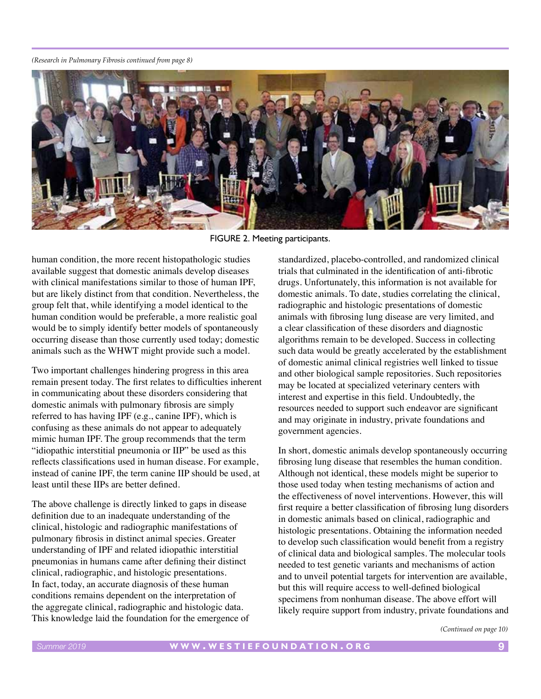#### *(Research in Pulmonary Fibrosis continued from page 8)*



FIGURE 2. Meeting participants.

human condition, the more recent histopathologic studies available suggest that domestic animals develop diseases with clinical manifestations similar to those of human IPF. but are likely distinct from that condition. Nevertheless, the group felt that, while identifying a model identical to the human condition would be preferable, a more realistic goal would be to simply identify better models of spontaneously occurring disease than those currently used today; domestic animals such as the WHWT might provide such a model.

Two important challenges hindering progress in this area remain present today. The first relates to difficulties inherent in communicating about these disorders considering that domestic animals with pulmonary fibrosis are simply referred to has having IPF (e.g., canine IPF), which is confusing as these animals do not appear to adequately mimic human IPF. The group recommends that the term "idiopathic interstitial pneumonia or IIP" be used as this reflects classifications used in human disease. For example, instead of canine IPF, the term canine IIP should be used, at least until these IIPs are better defined.

The above challenge is directly linked to gaps in disease definition due to an inadequate understanding of the clinical, histologic and radiographic manifestations of pulmonary fibrosis in distinct animal species. Greater understanding of IPF and related idiopathic interstitial pneumonias in humans came after defining their distinct clinical, radiographic, and histologic presentations. In fact, today, an accurate diagnosis of these human conditions remains dependent on the interpretation of the aggregate clinical, radiographic and histologic data. This knowledge laid the foundation for the emergence of standardized, placebo-controlled, and randomized clinical trials that culminated in the identification of anti-fibrotic drugs. Unfortunately, this information is not available for domestic animals. To date, studies correlating the clinical, radiographic and histologic presentations of domestic animals with fibrosing lung disease are very limited, and a clear classification of these disorders and diagnostic algorithms remain to be developed. Success in collecting such data would be greatly accelerated by the establishment of domestic animal clinical registries well linked to tissue and other biological sample repositories. Such repositories may be located at specialized veterinary centers with interest and expertise in this field. Undoubtedly, the resources needed to support such endeavor are significant and may originate in industry, private foundations and government agencies.

In short, domestic animals develop spontaneously occurring fibrosing lung disease that resembles the human condition. Although not identical, these models might be superior to those used today when testing mechanisms of action and the effectiveness of novel interventions. However, this will first require a better classification of fibrosing lung disorders in domestic animals based on clinical, radiographic and histologic presentations. Obtaining the information needed to develop such classification would benefit from a registry of clinical data and biological samples. The molecular tools needed to test genetic variants and mechanisms of action and to unveil potential targets for intervention are available, but this will require access to well-defined biological specimens from nonhuman disease. The above effort will likely require support from industry, private foundations and

*(Continued on page 10)*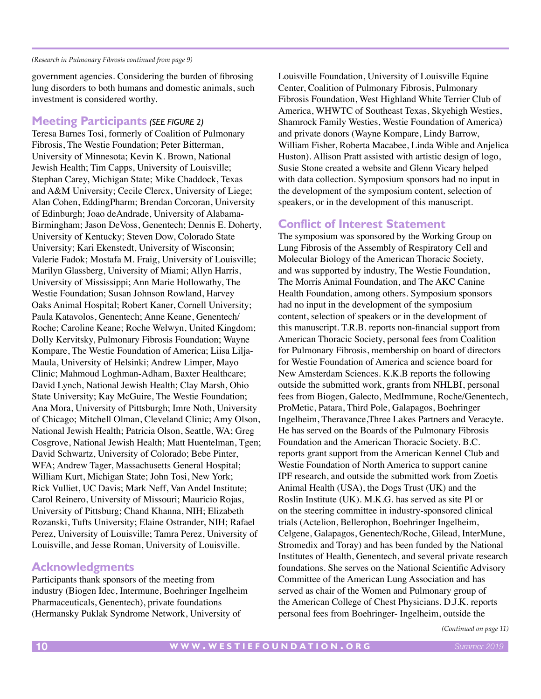#### *(Research in Pulmonary Fibrosis continued from page 9)*

government agencies. Considering the burden of fibrosing lung disorders to both humans and domestic animals, such investment is considered worthy.

# **Meeting Participants** *(SEE FIGURE 2)*

Teresa Barnes Tosi, formerly of Coalition of Pulmonary Fibrosis, The Westie Foundation; Peter Bitterman, University of Minnesota; Kevin K. Brown, National Jewish Health; Tim Capps, University of Louisville; Stephan Carey, Michigan State; Mike Chaddock, Texas and A&M University; Cecile Clercx, University of Liege; Alan Cohen, EddingPharm; Brendan Corcoran, University of Edinburgh; Joao deAndrade, University of Alabama-Birmingham; Jason DeVoss, Genentech; Dennis E. Doherty, University of Kentucky; Steven Dow, Colorado State University; Kari Ekenstedt, University of Wisconsin; Valerie Fadok; Mostafa M. Fraig, University of Louisville; Marilyn Glassberg, University of Miami; Allyn Harris, University of Mississippi; Ann Marie Hollowathy, The Westie Foundation; Susan Johnson Rowland, Harvey Oaks Animal Hospital; Robert Kaner, Cornell University; Paula Katavolos, Genentech; Anne Keane, Genentech/ Roche; Caroline Keane; Roche Welwyn, United Kingdom; Dolly Kervitsky, Pulmonary Fibrosis Foundation; Wayne Kompare, The Westie Foundation of America; Liisa Lilja-Maula, University of Helsinki; Andrew Limper, Mayo Clinic; Mahmoud Loghman-Adham, Baxter Healthcare; David Lynch, National Jewish Health; Clay Marsh, Ohio State University; Kay McGuire, The Westie Foundation; Ana Mora, University of Pittsburgh; Imre Noth, University of Chicago; Mitchell Olman, Cleveland Clinic; Amy Olson, National Jewish Health; Patricia Olson, Seattle, WA; Greg Cosgrove, National Jewish Health; Matt Huentelman, Tgen; David Schwartz, University of Colorado; Bebe Pinter, WFA; Andrew Tager, Massachusetts General Hospital; William Kurt, Michigan State; John Tosi, New York; Rick Vulliet, UC Davis; Mark Neff, Van Andel Institute; Carol Reinero, University of Missouri; Mauricio Rojas, University of Pittsburg; Chand Khanna, NIH; Elizabeth Rozanski, Tufts University; Elaine Ostrander, NIH; Rafael Perez, University of Louisville; Tamra Perez, University of Louisville, and Jesse Roman, University of Louisville.

# **Acknowledgments**

Participants thank sponsors of the meeting from industry (Biogen Idec, Intermune, Boehringer Ingelheim Pharmaceuticals, Genentech), private foundations (Hermansky Puklak Syndrome Network, University of

Louisville Foundation, University of Louisville Equine Center, Coalition of Pulmonary Fibrosis, Pulmonary Fibrosis Foundation, West Highland White Terrier Club of America, WHWTC of Southeast Texas, Skyehigh Westies, Shamrock Family Westies, Westie Foundation of America) and private donors (Wayne Kompare, Lindy Barrow, William Fisher, Roberta Macabee, Linda Wible and Anjelica Huston). Allison Pratt assisted with artistic design of logo, Susie Stone created a website and Glenn Vicary helped with data collection. Symposium sponsors had no input in the development of the symposium content, selection of speakers, or in the development of this manuscript.

# **Conflict of Interest Statement**

The symposium was sponsored by the Working Group on Lung Fibrosis of the Assembly of Respiratory Cell and Molecular Biology of the American Thoracic Society, and was supported by industry, The Westie Foundation, The Morris Animal Foundation, and The AKC Canine Health Foundation, among others. Symposium sponsors had no input in the development of the symposium content, selection of speakers or in the development of this manuscript. T.R.B. reports non-financial support from American Thoracic Society, personal fees from Coalition for Pulmonary Fibrosis, membership on board of directors for Westie Foundation of America and science board for New Amsterdam Sciences. K.K.B reports the following outside the submitted work, grants from NHLBI, personal fees from Biogen, Galecto, MedImmune, Roche/Genentech, ProMetic, Patara, Third Pole, Galapagos, Boehringer Ingelheim, Theravance,Three Lakes Partners and Veracyte. He has served on the Boards of the Pulmonary Fibrosis Foundation and the American Thoracic Society. B.C. reports grant support from the American Kennel Club and Westie Foundation of North America to support canine IPF research, and outside the submitted work from Zoetis Animal Health (USA), the Dogs Trust (UK) and the Roslin Institute (UK). M.K.G. has served as site PI or on the steering committee in industry-sponsored clinical trials (Actelion, Bellerophon, Boehringer Ingelheim, Celgene, Galapagos, Genentech/Roche, Gilead, InterMune, Stromedix and Toray) and has been funded by the National Institutes of Health, Genentech, and several private research foundations. She serves on the National Scientific Advisory Committee of the American Lung Association and has served as chair of the Women and Pulmonary group of the American College of Chest Physicians. D.J.K. reports personal fees from Boehringer- Ingelheim, outside the

*(Continued on page 11)*